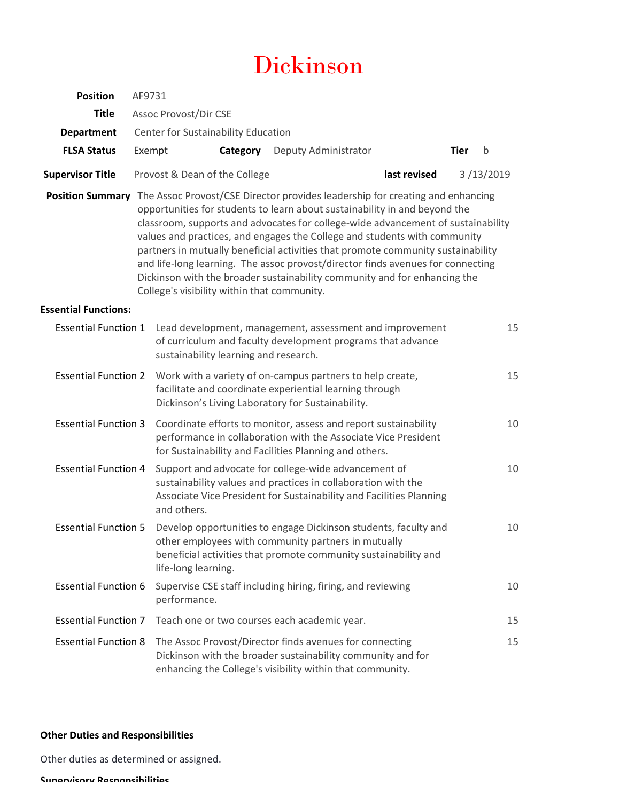# Dickinson

| <b>Position</b>             | AF9731                              |                                                                                                                                                                                                                  |                                                             |                                                                                                                                                                                                                                                                                                                                                                                                                                                                                                                                                                                  |              |             |           |
|-----------------------------|-------------------------------------|------------------------------------------------------------------------------------------------------------------------------------------------------------------------------------------------------------------|-------------------------------------------------------------|----------------------------------------------------------------------------------------------------------------------------------------------------------------------------------------------------------------------------------------------------------------------------------------------------------------------------------------------------------------------------------------------------------------------------------------------------------------------------------------------------------------------------------------------------------------------------------|--------------|-------------|-----------|
| <b>Title</b>                | <b>Assoc Provost/Dir CSE</b>        |                                                                                                                                                                                                                  |                                                             |                                                                                                                                                                                                                                                                                                                                                                                                                                                                                                                                                                                  |              |             |           |
| <b>Department</b>           | Center for Sustainability Education |                                                                                                                                                                                                                  |                                                             |                                                                                                                                                                                                                                                                                                                                                                                                                                                                                                                                                                                  |              |             |           |
| <b>FLSA Status</b>          | Exempt                              |                                                                                                                                                                                                                  | Category                                                    | Deputy Administrator                                                                                                                                                                                                                                                                                                                                                                                                                                                                                                                                                             |              | <b>Tier</b> | b         |
| <b>Supervisor Title</b>     |                                     | Provost & Dean of the College                                                                                                                                                                                    |                                                             |                                                                                                                                                                                                                                                                                                                                                                                                                                                                                                                                                                                  | last revised |             | 3/13/2019 |
| <b>Position Summary</b>     |                                     | College's visibility within that community.                                                                                                                                                                      |                                                             | The Assoc Provost/CSE Director provides leadership for creating and enhancing<br>opportunities for students to learn about sustainability in and beyond the<br>classroom, supports and advocates for college-wide advancement of sustainability<br>values and practices, and engages the College and students with community<br>partners in mutually beneficial activities that promote community sustainability<br>and life-long learning. The assoc provost/director finds avenues for connecting<br>Dickinson with the broader sustainability community and for enhancing the |              |             |           |
| <b>Essential Functions:</b> |                                     |                                                                                                                                                                                                                  |                                                             |                                                                                                                                                                                                                                                                                                                                                                                                                                                                                                                                                                                  |              |             |           |
| <b>Essential Function 1</b> |                                     | sustainability learning and research.                                                                                                                                                                            |                                                             | Lead development, management, assessment and improvement<br>of curriculum and faculty development programs that advance                                                                                                                                                                                                                                                                                                                                                                                                                                                          |              |             | 15        |
| <b>Essential Function 2</b> |                                     |                                                                                                                                                                                                                  |                                                             | Work with a variety of on-campus partners to help create,<br>facilitate and coordinate experiential learning through<br>Dickinson's Living Laboratory for Sustainability.                                                                                                                                                                                                                                                                                                                                                                                                        |              |             | 15        |
| <b>Essential Function 3</b> |                                     |                                                                                                                                                                                                                  |                                                             | Coordinate efforts to monitor, assess and report sustainability<br>performance in collaboration with the Associate Vice President<br>for Sustainability and Facilities Planning and others.                                                                                                                                                                                                                                                                                                                                                                                      |              |             | 10        |
| <b>Essential Function 4</b> |                                     | Support and advocate for college-wide advancement of<br>sustainability values and practices in collaboration with the<br>Associate Vice President for Sustainability and Facilities Planning<br>and others.      |                                                             |                                                                                                                                                                                                                                                                                                                                                                                                                                                                                                                                                                                  |              |             | 10        |
| <b>Essential Function 5</b> |                                     | Develop opportunities to engage Dickinson students, faculty and<br>other employees with community partners in mutually<br>beneficial activities that promote community sustainability and<br>life-long learning. |                                                             |                                                                                                                                                                                                                                                                                                                                                                                                                                                                                                                                                                                  |              |             | 10        |
| <b>Essential Function 6</b> |                                     | performance.                                                                                                                                                                                                     | Supervise CSE staff including hiring, firing, and reviewing |                                                                                                                                                                                                                                                                                                                                                                                                                                                                                                                                                                                  |              |             | 10        |
| <b>Essential Function 7</b> |                                     | Teach one or two courses each academic year.                                                                                                                                                                     |                                                             |                                                                                                                                                                                                                                                                                                                                                                                                                                                                                                                                                                                  |              |             | 15        |
| <b>Essential Function 8</b> |                                     |                                                                                                                                                                                                                  |                                                             | The Assoc Provost/Director finds avenues for connecting<br>Dickinson with the broader sustainability community and for<br>enhancing the College's visibility within that community.                                                                                                                                                                                                                                                                                                                                                                                              |              |             | 15        |

## **Other Duties and Responsibilities**

Other duties as determined or assigned.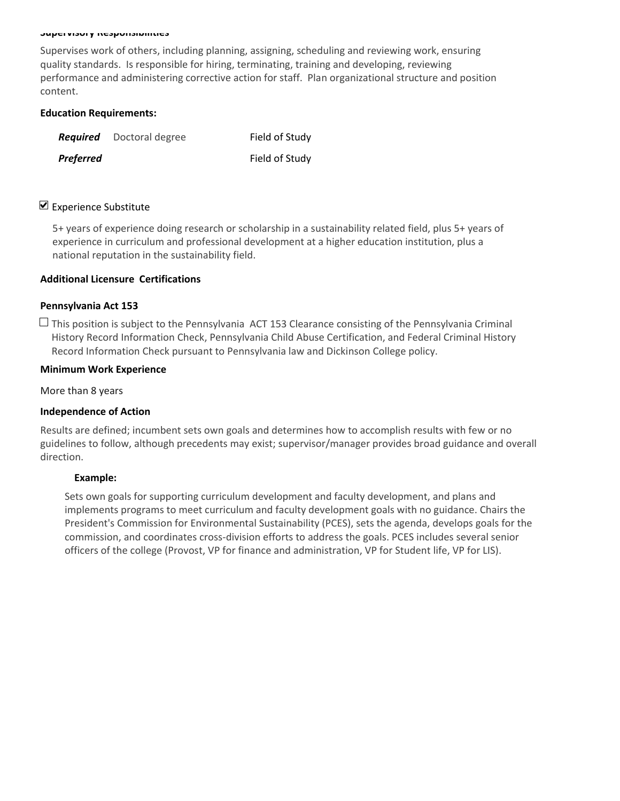#### **Supervisory Responsibilities**

Supervises work of others, including planning, assigning, scheduling and reviewing work, ensuring quality standards. Is responsible for hiring, terminating, training and developing, reviewing performance and administering corrective action for staff. Plan organizational structure and position content.

#### **Education Requirements:**

|           | <b>Required</b> Doctoral degree | Field of Study |
|-----------|---------------------------------|----------------|
| Preferred |                                 | Field of Study |

### $\nabla$  Experience Substitute

5+ years of experience doing research or scholarship in a sustainability related field, plus 5+ years of experience in curriculum and professional development at a higher education institution, plus a national reputation in the sustainability field.

#### **Additional Licensure Certifications**

#### **Pennsylvania Act 153**

 $\Box$  This position is subject to the Pennsylvania ACT 153 Clearance consisting of the Pennsylvania Criminal History Record Information Check, Pennsylvania Child Abuse Certification, and Federal Criminal History Record Information Check pursuant to Pennsylvania law and Dickinson College policy.

#### **Minimum Work Experience**

More than 8 years

#### **Independence of Action**

Results are defined; incumbent sets own goals and determines how to accomplish results with few or no guidelines to follow, although precedents may exist; supervisor/manager provides broad guidance and overall direction.

#### **Example:**

Sets own goals for supporting curriculum development and faculty development, and plans and implements programs to meet curriculum and faculty development goals with no guidance. Chairs the President's Commission for Environmental Sustainability (PCES), sets the agenda, develops goals for the commission, and coordinates cross‐division efforts to address the goals. PCES includes several senior officers of the college (Provost, VP for finance and administration, VP for Student life, VP for LIS).